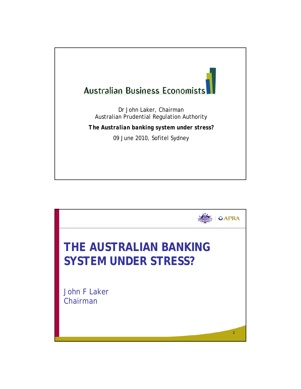## **Australian Business Economists**

Dr John Laker, Chairman Australian Prudential Regulation Authority

*The Australian banking system under stress?*

09 June 2010, Sofitel Sydney

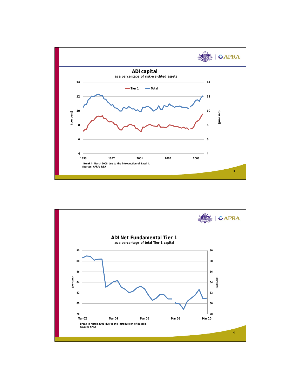

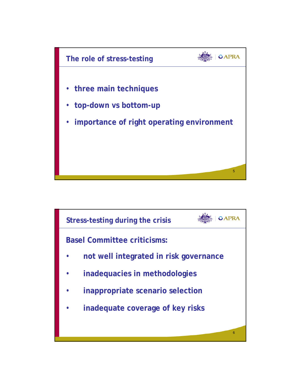

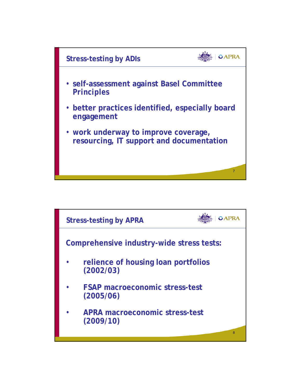

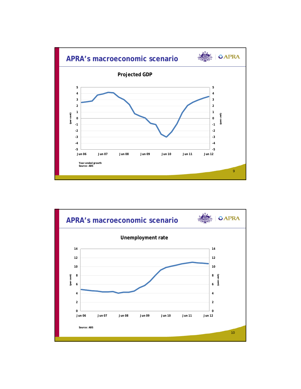

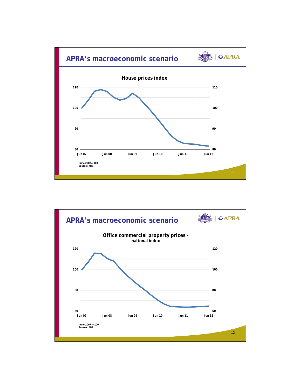

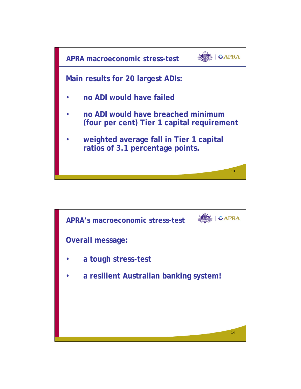